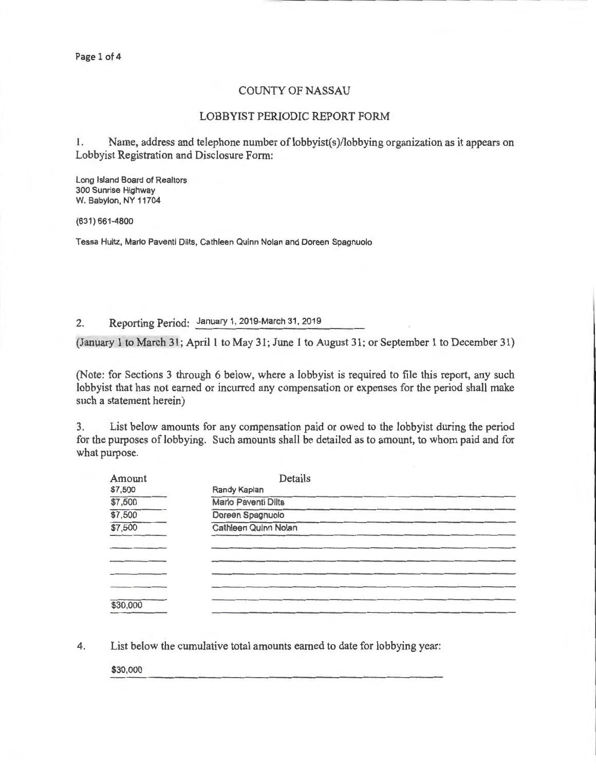Page 1 of 4

## COUNTY OF NASSAU

## LOBBYIST PERIODIC REPORT FORM

1. Name, address and telephone number of lobbyist(s)/lobbying organization as it appears on Lobbyist Registration and Disclosure Form:

Long Island Board of Realtors 300 Sunrise Highway W. Babylon, NY 11704

(631) 661-4800

Tessa Hultz, Mario Paventi Dilts, Cathleen Quinn Nolan and Doreen Spagnuolo

2. Reporting Period: January 1, 2019-March 31,2019

(January 1 to March 31; April 1 to May 31; June 1 to August 31; or September 1 to December 31)

(Note: for Sections 3 through 6 below, where a lobbyist is required to file this report, any such lobbyist that has not earned or incurred any compensation or expenses for the period shall make such a statement herein)

3. List below amounts for any compensation paid or owed to the lobbyist during the period for the purposes of lobbying. Such amounts shall be detailed as to amount, to whom paid and for what purpose.

| Amount   | Details                    |
|----------|----------------------------|
| \$7,500  | Randy Kaplan               |
| \$7,500  | <b>Marlo Paventi Dilts</b> |
| \$7,500  | Doreen Spagnuolo           |
| \$7,500  | Cathleen Quinn Nolan       |
|          |                            |
|          |                            |
|          |                            |
|          |                            |
|          |                            |
| \$30,000 |                            |
|          |                            |

4. List below the cumulative total amounts earned to date for lobbying year:

\$30,000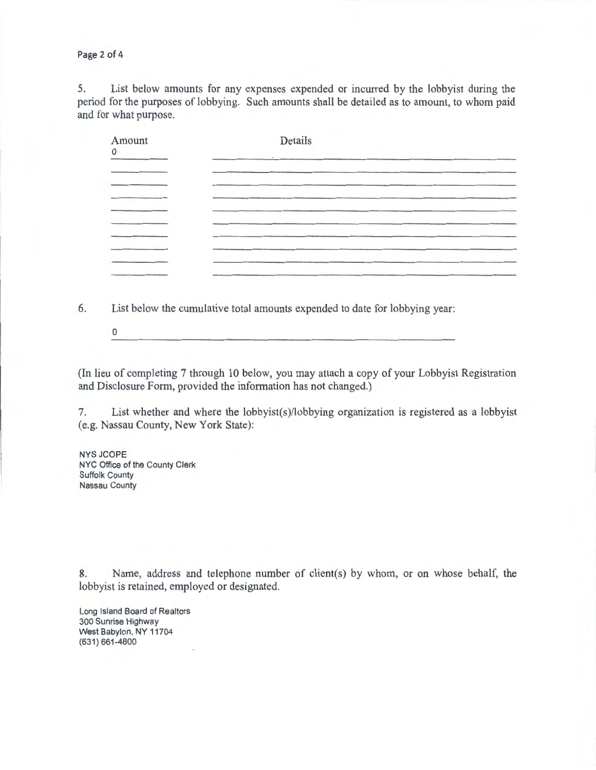Page 2 of 4

5. List below amounts for any expenses expended or incurred by the lobbyist during the period for the purposes of lobbying. Such amounts shall be detailed as to amount, to whom paid and for what purpose.

| Amount<br>0 | Details |        |
|-------------|---------|--------|
|             |         |        |
|             |         |        |
|             |         |        |
|             |         |        |
|             |         | $\sim$ |

6. List below the cumulative total amounts expended to date for lobbying year:

0

(In lieu of completing 7 through 10 below, you may attach a copy of your Lobbyist Registration and Disclosure Form, provided the information has not changed.)

7. List whether and where the lobbyist(s)/lobbying organization is registered as a lobbyist (e.g. Nassau County, New York State):

NYSJCOPE NYC Office of the County Clerk Suffolk County Nassau County

8. Name, address and telephone number of client(s) by whom, or on whose behalf, the lobbyist is retained, employed or designated.

Long Island Board of Realtors 300 Sunrise Highway West Babylon, NY 11704 (631) 661-4800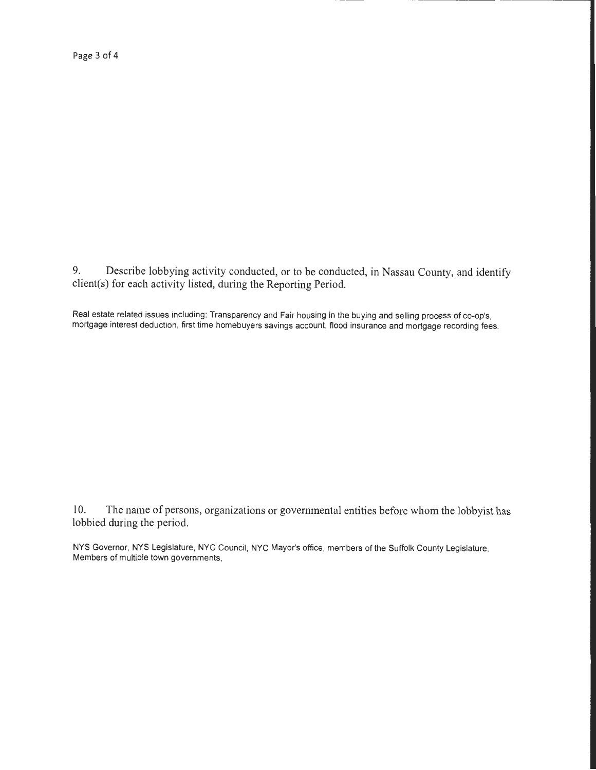Page 3 of 4

9. Describe lobbying activity conducted, or to be conducted, in Nassau County, and identify client(s) for each activity listed, during the Reporting Period.

Real estate related issues including: Transparency and Fair housing in the buying and selling process of co-op's, mortgage interest deduction, first time homebuyers savings account, flood insurance and mortgage recording fees.

l 0. The name of persons, organizations or governmental entities before whom the lobbyist has lobbied during the period.

NYS Governor, NYS Legislature, NYC Council, NYC Mayor's office, members of the Suffolk County Legislature, Members of multiple town governments,